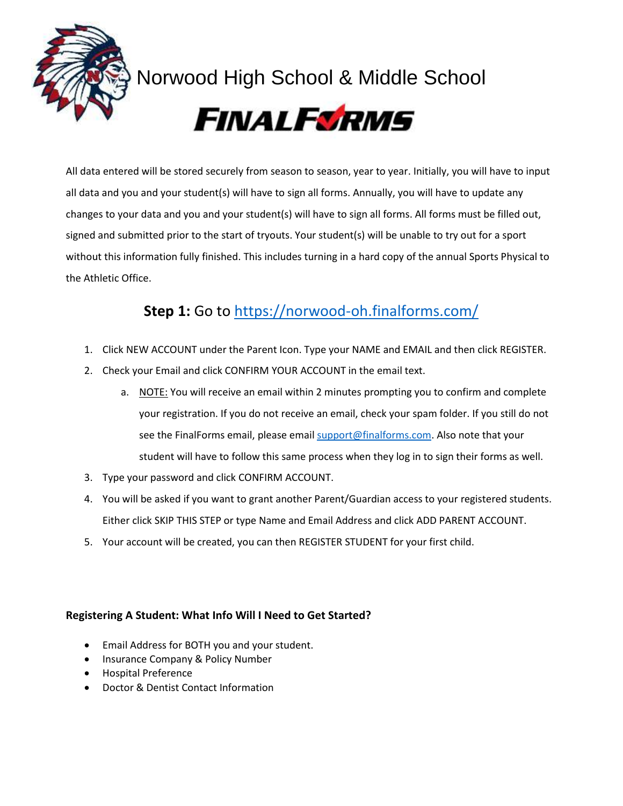

# Norwood High School & Middle School



All data entered will be stored securely from season to season, year to year. Initially, you will have to input all data and you and your student(s) will have to sign all forms. Annually, you will have to update any changes to your data and you and your student(s) will have to sign all forms. All forms must be filled out, signed and submitted prior to the start of tryouts. Your student(s) will be unable to try out for a sport without this information fully finished. This includes turning in a hard copy of the annual Sports Physical to the Athletic Office.

# **Step 1:** Go to <https://norwood-oh.finalforms.com/>

- 1. Click NEW ACCOUNT under the Parent Icon. Type your NAME and EMAIL and then click REGISTER.
- 2. Check your Email and click CONFIRM YOUR ACCOUNT in the email text.
	- a. NOTE: You will receive an email within 2 minutes prompting you to confirm and complete your registration. If you do not receive an email, check your spam folder. If you still do not see the FinalForms email, please emai[l support@finalforms.com.](mailto:support@finalforms.com) Also note that your student will have to follow this same process when they log in to sign their forms as well.
- 3. Type your password and click CONFIRM ACCOUNT.
- 4. You will be asked if you want to grant another Parent/Guardian access to your registered students. Either click SKIP THIS STEP or type Name and Email Address and click ADD PARENT ACCOUNT.
- 5. Your account will be created, you can then REGISTER STUDENT for your first child.

## **Registering A Student: What Info Will I Need to Get Started?**

- Email Address for BOTH you and your student.
- Insurance Company & Policy Number
- Hospital Preference
- Doctor & Dentist Contact Information